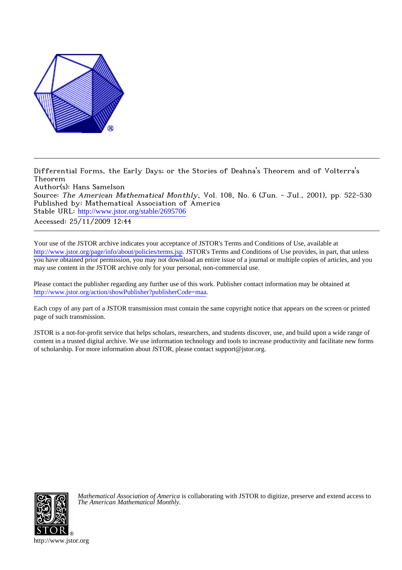

Differential Forms, the Early Days; or the Stories of Deahna's Theorem and of Volterra's Theorem Author(s): Hans Samelson Source: The American Mathematical Monthly, Vol. 108, No. 6 (Jun. - Jul., 2001), pp. 522-530 Published by: Mathematical Association of America Stable URL: [http://www.jstor.org/stable/2695706](http://www.jstor.org/stable/2695706?origin=JSTOR-pdf) Accessed: 25/11/2009 12:44

Your use of the JSTOR archive indicates your acceptance of JSTOR's Terms and Conditions of Use, available at <http://www.jstor.org/page/info/about/policies/terms.jsp>. JSTOR's Terms and Conditions of Use provides, in part, that unless you have obtained prior permission, you may not download an entire issue of a journal or multiple copies of articles, and you may use content in the JSTOR archive only for your personal, non-commercial use.

Please contact the publisher regarding any further use of this work. Publisher contact information may be obtained at [http://www.jstor.org/action/showPublisher?publisherCode=maa.](http://www.jstor.org/action/showPublisher?publisherCode=maa)

Each copy of any part of a JSTOR transmission must contain the same copyright notice that appears on the screen or printed page of such transmission.

JSTOR is a not-for-profit service that helps scholars, researchers, and students discover, use, and build upon a wide range of content in a trusted digital archive. We use information technology and tools to increase productivity and facilitate new forms of scholarship. For more information about JSTOR, please contact support@jstor.org.



*Mathematical Association of America* is collaborating with JSTOR to digitize, preserve and extend access to *The American Mathematical Monthly.*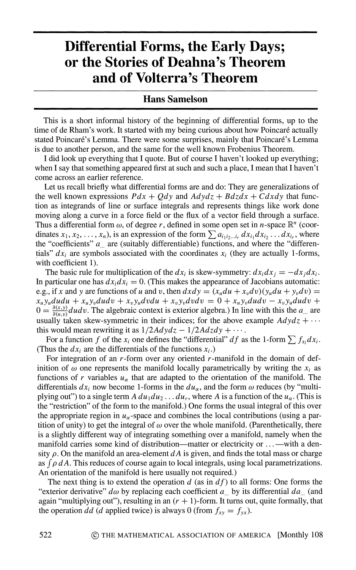## **Differential Forms, the Early Days; or the Stories of Deahna's Theorem and of Volterra's Theorem**

## **Hans Samelson**

**This is a short informal history of the beginning of differential forms, up to the time of de Rham's work. It started with my being curious about how Poincare actually stated Poincare's Lemma. There were some surprises, mainly that Poincare's Lemma is due to another person, and the same for the well known Frobenius Theorem.** 

**I did look up everything that I quote. But of course I haven't looked up everything; when I say that something appeared first at such and such a place, I mean that I haven't come across an earlier reference.** 

**Let us recall briefly what differential forms are and do: They are generalizations of**  the well known expressions  $Pdx + Qdy$  and  $Adydz + Bdzdx + Cdxdy$  that func**tion as integrands of line or surface integrals and represents things like work done moving along a curve in a force field or the flux of a vector field through a surface.**  Thus a differential form  $\omega$ , of degree r, defined in some open set in *n*-space  $\mathbb{R}^n$  (coor**dinates**  $x_1, x_2, \ldots, x_n$ , is an expression of the form  $\sum a_{i_1 i_2 \ldots i_r} dx_{i_1} dx_{i_2} \ldots dx_{i_r}$ , where **the "coefficients" a... are (suitably differentiable) functions, and where the "differen**tials"  $dx_i$  are symbols associated with the coordinates  $x_i$  (they are actually 1-forms, **with coefficient 1).** 

The basic rule for multiplication of the  $dx_i$  is skew-symmetry:  $dx_i dx_i = -dx_i dx_i$ . In particular one has  $dx_i dx_i = 0$ . (This makes the appearance of Jacobians automatic: **e.g., if x** and y are functions of u and v, then  $dx dy = (x_u du + x_v dv)(y_u du + y_v dv)$  =  $x_uy_ududu + x_uy_vdudv + x_vy_udvdu + x_vy_vdvdv = 0 + x_uy_vdudv - x_vy_ududv +$  $0 = \frac{\partial(x,y)}{\partial(u,y)} du dv$ . The algebraic context is exterior algebra.) In line with this the  $a_{...}$  are usually taken skew-symmetric in their indices; for the above example  $Adydz + \cdots$ **this would mean rewriting it as**  $1/2Adydz - 1/2Adzdy + \cdots$ **.** 

For a function *f* of the  $x_i$  one defines the "differential" df as the 1-form  $\sum f_x dx_i$ . (Thus the  $dx_i$  are the differentials of the functions  $x_i$ .)

For integration of an *r*-form over any oriented *r*-manifold in the domain of definition of  $\omega$  one represents the manifold locally parametrically by writing the  $x_i$  as functions of r variables  $u_{\alpha}$  that are adapted to the orientation of the manifold. The differentials  $dx_i$  now become 1-forms in the  $du_\alpha$ , and the form  $\omega$  reduces (by "multiplying out") to a single term  $A du_1 du_2 \ldots du_r$ , where A is a function of the  $u_\alpha$ . (This is **the "restriction" of the form to the manifold.) One forms the usual integral of this over**  the appropriate region in  $u_{\alpha}$ -space and combines the local contributions (using a partition of unity) to get the integral of  $\omega$  over the whole manifold. (Parenthetically, there **is a slightly different way of integrating something over a manifold, namely when the**  manifold carries some kind of distribution—matter or electricity or  $\dots$ —with a density  $\rho$ . On the manifold an area-element  $dA$  is given, and finds the total mass or charge **as f p dA. This reduces of course again to local integrals, using local parametrizations. An orientation of the manifold is here usually not required.)** 

The next thing is to extend the operation  $d$  (as in  $df$ ) to all forms: One forms the "exterior derivative"  $d\omega$  by replacing each coefficient  $a_{\ldots}$  by its differential  $da_{\ldots}$  (and again "multiplying out"), resulting in an  $(r + 1)$ -form. It turns out, quite formally, that the operation dd (d applied twice) is always 0 (from  $f_{xy} = f_{yx}$ ).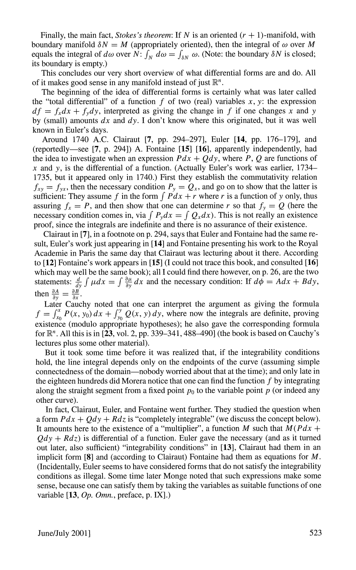Finally, the main fact, *Stokes's theorem*: If N is an oriented  $(r + 1)$ -manifold, with boundary manifold  $\delta N = M$  (appropriately oriented), then the integral of  $\omega$  over M equals the integral of  $d\omega$  over  $N: \int_N d\omega = \int_{\delta N} \omega$ . (Note: the boundary  $\delta N$  is closed; **its boundary is empty.)** 

**This concludes our very short overview of what differential forms are and do. All**  of it makes good sense in any manifold instead of just  $\mathbb{R}^n$ .

**The beginning of the idea of differential forms is certainly what was later called**  the "total differential" of a function  $f$  of two (real) variables  $x, y$ : the expression  $df = f_x dx + f_y dy$ , interpreted as giving the change in f if one changes x and y by (small) amounts  $dx$  and  $dy$ . I don't know where this originated, but it was well **known in Euler's days.** 

**Around 1740 A.C. Clairaut [7, pp. 294-297], Euler [14, pp. 176-179], and (reportedly-see [7, p. 294]) A. Fontaine [15] [16], apparently independently, had**  the idea to investigate when an expression  $Pdx + Qdy$ , where P, Q are functions of **x and y, is the differential of a function. (Actually Euler's work was earlier, 1734- 1735, but it appeared only in 1740.) First they establish the commutativity relation**   $f_{xy} = f_{yx}$ , then the necessary condition  $P_y = Q_x$ , and go on to show that the latter is sufficient: They assume f in the form  $\int Pdx + r$  where r is a function of y only, thus assuring  $f_x = P$ , and then show that one can determine r so that  $f_y = Q$  (here the **necessary condition comes in, via**  $\int P_y dx = \int Q_x dx$ **. This is not really an existence proof, since the integrals are indefinite and there is no assurance of their existence.** 

**Clairaut in [7], in a footnote on p. 294, says that Euler and Fontaine had the same result, Euler's work just appearing in [14] and Fontaine presenting his work to the Royal Academie in Paris the same day that Clairaut was lecturing about it there. According to [12] Fontaine's work appears in [15] (I could not trace this book, and consulted [16] which may well be the same book); all I could find there however, on p. 26, are the two**  statements:  $\frac{d}{dy} \int \mu dx = \int \frac{\partial \mu}{\partial y} dx$  and the necessary condition: If  $d\phi = A dx + B dy$ , then  $\frac{\partial A}{\partial y} = \frac{\partial B}{\partial x}$ .

**Later Cauchy noted that one can interpret the argument as giving the formula**   $f = \int_{x_0}^x P(x, y_0) dx + \int_{y_0}^y Q(x, y) dy$ , where now the integrals are definite, proving **existence (modulo appropriate hypotheses); he also gave the corresponding formula for R'. All this is in [23, vol. 2, pp. 339-341,488-490] (the book is based on Cauchy's lectures plus some other material).** 

**But it took some time before it was realized that, if the integrability conditions hold, the line integral depends only on the endpoints of the curve (assuming simple connectedness of the domain-nobody worried about that at the time); and only late in the eighteen hundreds did Morera notice that one can find the function f by integrating**  along the straight segment from a fixed point  $p_0$  to the variable point  $p$  (or indeed any **other curve).** 

**In fact, Clairaut, Euler, and Fontaine went further. They studied the question when**  a form  $Pdx + Qdy + Rdz$  is "completely integrable" (we discuss the concept below). It amounts here to the existence of a "multiplier", a function M such that  $M(Pdx +$  $Qdy + Rdz$ ) is differential of a function. Euler gave the necessary (and as it turned **out later, also sufficient) "integrability conditions" in [13], Clairaut had them in an implicit form [8] and (according to Clairaut) Fontaine had them as equations for M. (Incidentally, Euler seems to have considered forms that do not satisfy the integrability conditions as illegal. Some time later Monge noted that such expressions make some sense, because one can satisfy them by taking the variables as suitable functions of one variable [13, Op. Omn., preface, p. IX].)**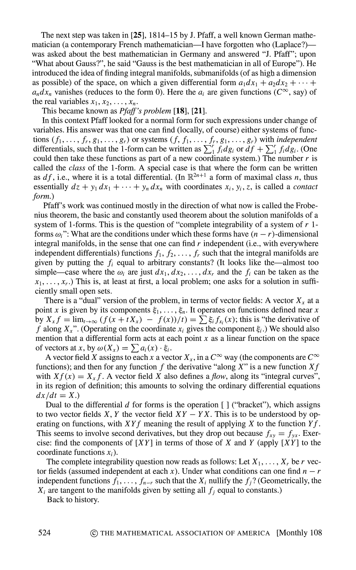**The next step was taken in [25], 1814-15 by J. Pfaff, a well known German mathematician (a contemporary French mathematician—I have forgotten who (Laplace?) was asked about the best mathematician in Germany and answered "J. Pfaff"; upon "What about Gauss?", he said "Gauss is the best mathematician in all of Europe"). He introduced the idea of finding integral manifolds, submanifolds (of as high a dimension**  as possible) of the space, on which a given differential form  $a_1 dx_1 + a_2 dx_2 + \cdots$  $a_n dx_n$  vanishes (reduces to the form 0). Here the  $a_i$  are given functions ( $C^{\infty}$ , say) of **the real variables**  $x_1, x_2, \ldots, x_n$ .

**This became known as Pfaff's problem [18], [21].** 

**In this context Pfaff looked for a normal form for such expressions under change of variables. His answer was that one can find (locally, of course) either systems of functions**  $(f_1, \ldots, f_r, g_1, \ldots, g_r)$  or systems  $(f, f_1, \ldots, f_r, g_1, \ldots, g_r)$  with independent differentials, such that the 1-form can be written as  $\sum_{1}^{r} f_i dg_i$  or  $df + \sum_{1}^{r} f_i dg_i$ . (One could then take these functions as part of a new coordinate system.) The number  $r$  is **called the class of the 1-form. A special case is that where the form can be written**  as  $df$ , i.e., where it is a total differential. (In  $\mathbb{R}^{2n+1}$  a form of maximal class n, thus **essentially**  $dz + y_1 dx_1 + \cdots + y_n dx_n$  with coordinates  $x_i, y_i, z$ , is called a *contact* **form.)** 

**Pfaff's work was continued mostly in the direction of what now is called the Frobenius theorem, the basic and constantly used theorem about the solution manifolds of a system of 1-forms. This is the question of "complete integrability of a system of r 1**  forms  $\omega_i$ ": What are the conditions under which these forms have  $(n - r)$ -dimensional integral manifolds, in the sense that one can find  $r$  independent (i.e., with everywhere independent differentials) functions  $f_1, f_2, \ldots, f_r$  such that the integral manifolds are given by putting the  $f_i$  equal to arbitrary constants? (It looks like the-almost too simple—case where the  $\omega_i$  are just  $dx_1, dx_2, \ldots, dx_r$  and the  $f_i$  can be taken as the  $x_1, \ldots, x_r$ .) This is, at least at first, a local problem; one asks for a solution in suffi**ciently small open sets.** 

There is a "dual" version of the problem, in terms of vector fields: A vector  $X_x$  at a point x is given by its components  $\xi_1, \ldots, \xi_n$ . It operates on functions defined near x **by**  $X_x f = \lim_{t \to \infty} (f(x + tX_x) - f(x))/t = \sum_{i=1}^{n} \xi_i f_{x_i}(x)$ ; this is "the derivative of f along  $X_x$ ". (Operating on the coordinate  $x_i$  gives the component  $\xi_i$ .) We should also **mention that a differential form acts at each point x as a linear function on the space**  of vectors at x, by  $\omega(X_x) = \sum a_i(x) \cdot \xi_i$ .

A vector field X assigns to each x a vector  $X_x$ , in a  $C^\infty$  way (the components are  $C^\infty$ functions); and then for any function  $f$  the derivative "along  $X$ " is a new function  $Xf$ with  $Xf(x) = X_x f$ . A vector field X also defines a flow, along its "integral curves", **in its region of definition; this amounts to solving the ordinary differential equations**   $dx/dt = X.$ 

Dual to the differential d for forms is the operation  $\lceil \cdot \rceil$  ("bracket"), which assigns to two vector fields X, Y the vector field  $XY - YX$ . This is to be understood by operating on functions, with  $XYf$  meaning the result of applying X to the function  $Yf$ . This seems to involve second derivatives, but they drop out because  $f_{xy} = f_{yx}$ . Exercise: find the components of  $[XY]$  in terms of those of X and Y (apply  $[XY]$  to the coordinate functions  $x_i$ ).

The complete integrability question now reads as follows: Let  $X_1, \ldots, X_r$  be r vec**tor fields (assumed independent at each x). Under what conditions can one find**  $n - r$ independent functions  $f_1, \ldots, f_{n-r}$  such that the  $X_i$  nullify the  $f_j$ ? (Geometrically, the  $X_i$  are tangent to the manifolds given by setting all  $f_i$  equal to constants.)

**Back to history.**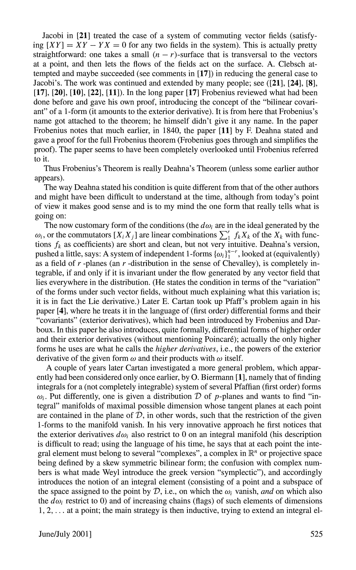**Jacobi in [21] treated the case of a system of commuting vector fields (satisfy**ing  $[XY] = XY - YX = 0$  for any two fields in the system). This is actually pretty straightforward: one takes a small  $(n - r)$ -surface that is transversal to the vectors **at a point, and then lets the flows of the fields act on the surface. A. Clebsch attempted and maybe succeeded (see comments in [17]) in reducing the general case to Jacobi's. The work was continued and extended by many people; see ([21], [24], [8], [17], [20], [10], [22], [11]). In the long paper [17] Frobenius reviewed what had been done before and gave his own proof, introducing the concept of the "bilinear covariant" of a 1-form (it amounts to the exterior derivative). It is from here that Frobenius's name got attached to the theorem; he himself didn't give it any name. In the paper Frobenius notes that much earlier, in 1840, the paper [11] by F. Deahna stated and gave a proof for the full Frobenius theorem (Frobenius goes through and simplifies the proof). The paper seems to have been completely overlooked until Frobenius referred to it.** 

**Thus Frobenius's Theorem is really Deahna's Theorem (unless some earlier author appears).** 

**The way Deahna stated his condition is quite different from that of the other authors and might have been difficult to understand at the time, although from today's point of view it makes good sense and is to my mind the one form that really tells what is going on:** 

The now customary form of the conditions (the  $d\omega_i$  are in the ideal generated by the  $\omega_i$ , or the commutators  $[X_i X_j]$  are linear combinations  $\sum_{i=1}^r f_k X_k$  of the  $X_k$  with functions  $f_k$  as coefficients) are short and clean, but not very intuitive. Deahna's version, pushed a little, says: A system of independent 1-forms  $\{\omega_i\}_{1}^{n-r}$ , looked at (equivalently) **as a field of r -planes (an r -distribution in the sense of Chevalley), is completely integrable, if and only if it is invariant under the flow generated by any vector field that lies everywhere in the distribution. (He states the condition in terms of the "variation" of the forms under such vector fields, without much explaining what this variation is; it is in fact the Lie derivative.) Later E. Cartan took up Pfaff's problem again in his paper [4], where he treats it in the language of (first order) differential forms and their "covariants" (exterior derivatives), which had been introduced by Frobenius and Darboux. In this paper he also introduces, quite formally, differential forms of higher order and their exterior derivatives (without mentioning Poincare); actually the only higher forms he uses are what he calls the higher derivatives, i.e., the powers of the exterior**  derivative of the given form  $\omega$  and their products with  $\omega$  itself.

**A couple of years later Cartan investigated a more general problem, which apparently had been considered only once earlier, by 0. Biermann [1], namely that of finding integrals for a (not completely integrable) system of several Pfaffian (first order) forms**   $\omega_i$ . Put differently, one is given a distribution D of p-planes and wants to find "in**tegral" manifolds of maximal possible dimension whose tangent planes at each point**  are contained in the plane of  $D$ , in other words, such that the restriction of the given **1-forms to the manifold vanish. In his very innovative approach he first notices that**  the exterior derivatives  $d\omega_i$  also restrict to 0 on an integral manifold (his description **is difficult to read; using the language of his time, he says that at each point the inte**gral element must belong to several "complexes", a complex in  $\mathbb{R}^n$  or projective space **being defined by a skew symmetric bilinear form; the confusion with complex numbers is what made Weyl introduce the greek version "symplectic"), and accordingly introduces the notion of an integral element (consisting of a point and a subspace of**  the space assigned to the point by  $D$ , i.e., on which the  $\omega_i$  vanish, and on which also the  $d\omega_i$  restrict to 0) and of increasing chains (flags) of such elements of dimensions **1, 2, . .. at a point; the main strategy is then inductive, trying to extend an integral el-**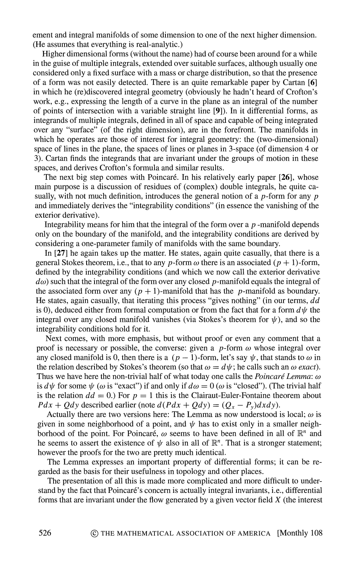**ement and integral manifolds of some dimension to one of the next higher dimension. (He assumes that everything is real-analytic.)** 

**Higher dimensional forms (without the name) had of course been around for a while in the guise of multiple integrals, extended over suitable surfaces, although usually one considered only a fixed surface with a mass or charge distribution, so that the presence of a form was not easily detected. There is an quite remarkable paper by Cartan [6] in which he (re)discovered integral geometry (obviously he hadn't heard of Crofton's work, e.g., expressing the length of a curve in the plane as an integral of the number of points of intersection with a variable straight line [9]). In it differential forms, as integrands of multiple integrals, defined in all of space and capable of being integrated over any "surface" (of the right dimension), are in the forefront. The manifolds in which he operates are those of interest for integral geometry: the (two-dimensional) space of lines in the plane, the spaces of lines or planes in 3-space (of dimension 4 or 3). Cartan finds the integrands that are invariant under the groups of motion in these spaces, and derives Crofton's formula and similar results.** 

**The next big step comes with Poincare. In his relatively early paper [26], whose main purpose is a discussion of residues of (complex) double integrals, he quite casually, with not much definition, introduces the general notion of a p-form for any p and immediately derives the "integrability conditions" (in essence the vanishing of the exterior derivative).** 

**Integrability means for him that the integral of the form over a p -manifold depends only on the boundary of the manifold, and the integrability conditions are derived by considering a one-parameter family of manifolds with the same boundary.** 

**In [27] he again takes up the matter. He states, again quite casually, that there is a**  general Stokes theorem, i.e., that to any  $p$ -form  $\omega$  there is an associated ( $p + 1$ )-form, **defined by the integrability conditions (and which we now call the exterior derivative**  d $\omega$ ) such that the integral of the form over any closed p-manifold equals the integral of the associated form over any  $(p + 1)$ -manifold that has the p-manifold as boundary. **He states, again casually, that iterating this process "gives nothing" (in our terms, dd**  is 0), deduced either from formal computation or from the fact that for a form  $d\psi$  the integral over any closed manifold vanishes (via Stokes's theorem for  $\psi$ ), and so the **integrability conditions hold for it.** 

**Next comes, with more emphasis, but without proof or even any comment that a**  proof is necessary or possible, the converse: given a  $p$ -form  $\omega$  whose integral over any closed manifold is 0, then there is a  $(p - 1)$ -form, let's say  $\psi$ , that stands to  $\omega$  in **the relation described by Stokes's theorem (so that**  $\omega = d\psi$ **; he calls such an**  $\omega$ *exact***).** Thus we have here the non-trivial half of what today one calls the *Poincaré Lemma*:  $\omega$ is  $d\psi$  for some  $\psi$  ( $\omega$  is "exact") if and only if  $d\omega = 0$  ( $\omega$  is "closed"). (The trivial half is the relation  $dd = 0$ .) For  $p = 1$  this is the Clairaut-Euler-Fontaine theorem about  $Pdx + Qdy$  described earlier (note  $d(Pdx + Qdy) = (Q_x - P_y)dxdy$ ).

Actually there are two versions here: The Lemma as now understood is local;  $\omega$  is given in some neighborhood of a point, and  $\psi$  has to exist only in a smaller neighborhood of the point. For Poincaré,  $\omega$  seems to have been defined in all of  $\mathbb{R}^n$  and **he seems to assert the existence of**  $\psi$  **also in all of**  $\mathbb{R}^n$ **. That is a stronger statement; however the proofs for the two are pretty much identical.** 

**The Lemma expresses an important property of differential forms; it can be regarded as the basis for their usefulness in topology and other places.** 

**The presentation of all this is made more complicated and more difficult to understand by the fact that Poincare's concern is actually integral invariants, i.e., differential forms that are invariant under the flow generated by a given vector field X (the interest**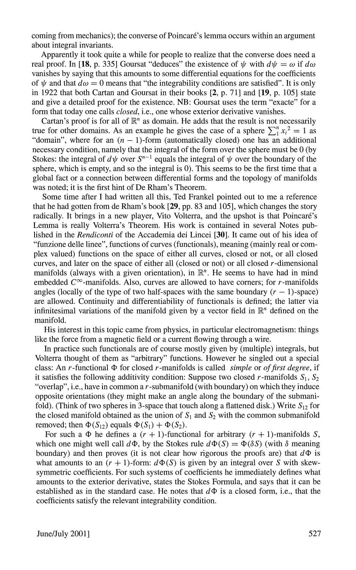**coming from mechanics); the converse of Poincare's lemma occurs within an argument about integral invariants.** 

**Apparently it took quite a while for people to realize that the converse does need a real proof.** In [18, p. 335] Goursat "deduces" the existence of  $\psi$  with  $d\psi = \omega$  if  $d\omega$ **vanishes by saying that this amounts to some differential equations for the coefficients**  of  $\psi$  and that  $d\omega = 0$  means that "the integrability conditions are satisfied". It is only **in 1922 that both Cartan and Goursat in their books [2, p. 71] and [19, p. 105] state and give a detailed proof for the existence. NB: Goursat uses the term "exacte" for a form that today one calls closed, i.e., one whose exterior derivative vanishes.** 

Cartan's proof is for all of  $\mathbb{R}^n$  as domain. He adds that the result is not necessarily **true for other domains. As an example he gives the case of a sphere**  $\sum_{i=1}^{n} x_i^2 = 1$  **as** "domain", where for an  $(n - 1)$ -form (automatically closed) one has an additional **necessary condition, namely that the integral of the form over the sphere must be 0 (by**  Stokes: the integral of  $d\psi$  over  $S^{n-1}$  equals the integral of  $\psi$  over the boundary of the **sphere, which is empty, and so the integral is 0). This seems to be the first time that a global fact or a connection between differential forms and the topology of manifolds was noted; it is the first hint of De Rham's Theorem.** 

**Some time after I had written all this, Ted Frankel pointed out to me a reference that he had gotten from de Rham's book [29, pp. 83 and 105], which changes the story radically. It brings in a new player, Vito Volterra, and the upshot is that Poincare's Lemma is really Volterra's Theorem. His work is contained in several Notes published in the Rendiconti of the Accademia dei Lincei [30]. It came out of his idea of "funzione delle linee", functions of curves (functionals), meaning (mainly real or complex valued) functions on the space of either all curves, closed or not, or all closed curves, and later on the space of either all (closed or not) or all closed r-dimensional**  manifolds (always with a given orientation), in  $\mathbb{R}^n$ . He seems to have had in mind embedded  $C^{\infty}$ -manifolds. Also, curves are allowed to have corners; for r-manifolds angles (locally of the type of two half-spaces with the same boundary  $(r - 1)$ -space) **are allowed. Continuity and differentiability of functionals is defined; the latter via**  infinitesimal variations of the manifold given by a vector field in  $\mathbb{R}^n$  defined on the **manifold.** 

**His interest in this topic came from physics, in particular electromagnetism: things like the force from a magnetic field or a current flowing through a wire.** 

**In practice such functionals are of course mostly given by (multiple) integrals, but Volterra thought of them as "arbitrary" functions. However he singled out a special**  class: An r-functional  $\Phi$  for closed r-manifolds is called *simple* or *of first degree*, if it satisfies the following additivity condition: Suppose two closed  $r$ -manifolds  $S_1, S_2$ **"overlap", i.e., have in common a r-submanifold (with boundary) on which they induce opposite orientations (they might make an angle along the boundary of the submani**fold). (Think of two spheres in 3-space that touch along a flattened disk.) Write  $S_{12}$  for the closed manifold obtained as the union of  $S_1$  and  $S_2$  with the common submanifold **removed;** then  $\Phi(S_{12})$  equals  $\Phi(S_1) + \Phi(S_2)$ .

For such a  $\Phi$  he defines a  $(r + 1)$ -functional for arbitrary  $(r + 1)$ -manifolds S, which one might well call  $d\Phi$ , by the Stokes rule  $d\Phi(S) = \Phi(\delta S)$  (with  $\delta$  meaning boundary) and then proves (it is not clear how rigorous the proofs are) that  $d\Phi$  is what amounts to an  $(r + 1)$ -form:  $d\Phi(S)$  is given by an integral over S with skew**symmetric coefficients. For such systems of coefficients he immediately defines what amounts to the exterior derivative, states the Stokes Formula, and says that it can be**  established as in the standard case. He notes that  $d\Phi$  is a closed form, i.e., that the **coefficients satisfy the relevant integrability condition.**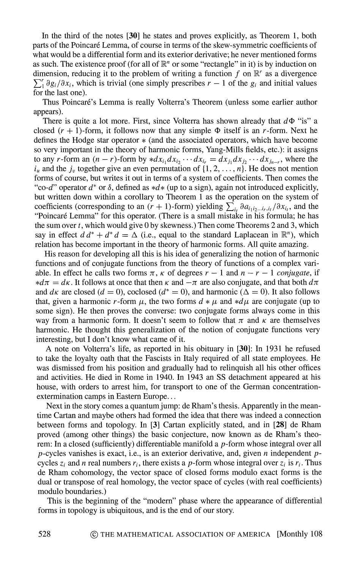**In the third of the notes [30] he states and proves explicitly, as Theorem 1, both**  parts of the Poincaré Lemma, of course in terms of the skew-symmetric coefficients of **what would be a differential form and its exterior derivative; he never mentioned forms**  as such. The existence proof (for all of  $\mathbb{R}^n$  or some "rectangle" in it) is by induction on dimension, reducing it to the problem of writing a function  $f$  on  $\mathbb{R}^r$  as a divergence  $\sum_{i=1}^{r} \frac{\partial g_i}{\partial x_i}$ , which is trivial (one simply prescribes  $r - 1$  of the  $g_i$  and initial values **for the last one).** 

**Thus Poincare's Lemma is really Volterra's Theorem (unless some earlier author appears).** 

There is quite a lot more. First, since Volterra has shown already that  $d\Phi$  "is" a closed  $(r + 1)$ -form, it follows now that any simple  $\Phi$  itself is an *r*-form. Next he **defines the Hodge star operator \* (and the associated operators, which have become so very important in the theory of harmonic forms, Yang-Mills fields, etc.): it assigns**  to any *r*-form an  $(n - r)$ -form by  $*dx_{i_1}dx_{i_2}\cdots dx_{i_r} = dx_{j_1}dx_{j_2}\cdots dx_{j_{n-r}}$ , where the  $i_u$  and the  $j_v$  together give an even permutation of  $\{1, 2, \ldots, n\}$ . He does not mention **forms of course, but writes it out in terms of a system of coefficients. Then comes the**  "co-d" operator  $d^*$  or  $\delta$ , defined as  $*d*$  (up to a sign), again not introduced explicitly, **but written down within a corollary to Theorem I as the operation on the system of**  coefficients (corresponding to an  $(r + 1)$ -form) yielding  $\sum_i \partial a_{i_1 i_2 \dots i_r, i_t}/\partial x_{i_t}$ , and the "Poincaré Lemma" for this operator. (There is a small mistake in his formula; he has **the sum over t, which would give 0 by skewness.) Then come Theorems 2 and 3, which say in effect**  $d\,d^* + d^* \,d = \Delta$  (i.e., equal to the standard Laplacean in  $\mathbb{R}^n$ ), which **relation has become important in the theory of harmonic forms. All quite amazing.** 

**His reason for developing all this is his idea of generalizing the notion of harmonic functions and of conjugate functions from the theory of functions of a complex vari**able. In effect he calls two forms  $\pi$ ,  $\kappa$  of degrees  $r - 1$  and  $n - r - 1$  conjugate, if  $*\,d\pi = d\kappa$ . It follows at once that then  $\kappa$  and  $-\pi$  are also conjugate, and that both  $d\pi$ and  $d\kappa$  are closed ( $d = 0$ ), coclosed ( $d^* = 0$ ), and harmonic ( $\Delta = 0$ ). It also follows that, given a harmonic r-form  $\mu$ , the two forms  $d * \mu$  and  $*d\mu$  are conjugate (up to **some sign). He then proves the converse: two conjugate forms always come in this way from a harmonic form. It doesn't seem to follow that**  $\pi$  **and**  $\kappa$  **are themselves harmonic. He thought this generalization of the notion of conjugate functions very interesting, but I don't know what came of it.** 

**A note on Volterra's life, as reported in his obituary in [30]: In 1931 he refused to take the loyalty oath that the Fascists in Italy required of all state employees. He was dismissed from his position and gradually had to relinquish all his other offices and activities. He died in Rome in 1940. In 1943 an SS detachment appeared at his**  house, with orders to arrest him, for transport to one of the German concentration**extermination camps in Eastern Europe...** 

**Next in the story comes a quantum jump: de Rham's thesis. Apparently in the meantime Cartan and maybe others had formed the idea that there was indeed a connection between forms and topology. In [3] Cartan explicitly stated, and in [28] de Rham proved (among other things) the basic conjecture, now known as de Rham's theorem: In a closed (sufficiently) differentiable manifold a p-form whose integral over all p-cycles vanishes is exact, i.e., is an exterior derivative, and, given n independent p**cycles  $z_i$  and *n* real numbers  $r_i$ , there exists a *p*-form whose integral over  $z_i$  is  $r_i$ . Thus **de Rham cohomology, the vector space of closed forms modulo exact forms is the dual or transpose of real homology, the vector space of cycles (with real coefficients) modulo boundaries.)** 

**This is the beginning of the "modem" phase where the appearance of differential forms in topology is ubiquitous, and is the end of our story.**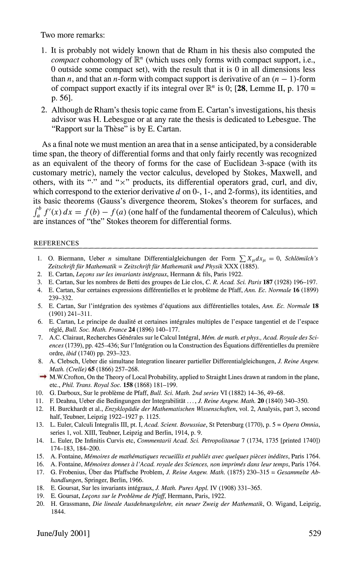**Two more remarks:** 

- **1. It is probably not widely known that de Rham in his thesis also computed the**  *compact* cohomology of  $\mathbb{R}^n$  (which uses only forms with compact support, i.e., **0 outside some compact set), with the result that it is 0 in all dimensions less**  than *n*, and that an *n*-form with compact support is derivative of an  $(n - 1)$ -form of compact support exactly if its integral over  $\mathbb{R}^n$  is 0; [28, Lemme II, p. 170 = **p. 56].**
- **2. Although de Rham's thesis topic came from E. Cartan's investigations, his thesis advisor was H. Lebesgue or at any rate the thesis is dedicated to Lebesgue. The "Rapport sur la These" is by E. Cartan.**

**As a final note we must mention an area that in a sense anticipated, by a considerable time span, the theory of differential forms and that only fairly recently was recognized as an equivalent of the theory of forms for the case of Euclidean 3-space (with its customary metric), namely the vector calculus, developed by Stokes, Maxwell, and others, with its "\*" and "x" products, its differential operators grad, curl, and div, which correspond to the exterior derivative d on 0-, 1-, and 2-forms), its identities, and its basic theorems (Gauss's divergence theorem, Stokes's theorem for surfaces, and**   $\int_a^b f'(x) dx = f(b) - f(a)$  (one half of the fundamental theorem of Calculus), which **are instances of "the" Stokes theorem for differential forms.** 

## **REFERENCES**

- **1.** O. Biermann, Ueber *n* simultane Differentialgleichungen der Form  $\sum X_u dx_u = 0$ , Schlömilch's Zeitschrift für Mathematik = Zeitschrift für Mathematik und Physik XXX (1885).
- 2. E. Cartan, *Leçons sur les invariants intégraux*, Hermann & fils, Paris 1922.
- **3. E. Cartan, Sur les nombres de Betti des groupes de Lie clos, C. R. Acad. Sci. Paris 187 (1928) 196-197.**
- **4. E. Cartan, Sur certaines expressions differentielles et le probleme de Pfaff, Ann. Ec. Normale 16 (1899) 239-332.**
- **5. E. Cartan, Sur l'integration des systemes d'equations aux differentielles totales, Ann. Ec. Normale 18 (1901) 241-311.**
- 6. E. Cartan, Le principe de dualité et certaines intégrales multiples de l'espace tangentiel et de l'espace **regl6, Bull. Soc. Math. France 24 (1896) 140-177.**
- 7. A.C. Clairaut, Recherches Générales sur le Calcul Intégral, Mém. de math. et phys., Acad. Royale des Sci**ences (1739), pp. 425-436; Sur l'Int6gration ou la Construction des Equations differentielles du premiere ordre, ibid (1740) pp. 293-323.**
- **8. A. Clebsch, Ueber die simultane Integration linearer partieller Differentialgleichungen, J. Reine Angew. Math. (Crelle) 65 (1866) 257-268.**
- → M.W.Crofton, On the Theory of Local Probability, applied to Straight Lines drawn at random in the plane, **etc., Phil. Trans. Royal Soc. 158 (1868) 181-199.**
- **10. G. Darboux, Sur le probleme de Pfaff, Bull. Sci. Math. 2nd series VI (1882) 14-36, 49-68.**
- **11. F. Deahna, Ueber die Bedingungen der Integrabilitat ..., J. Reine Angew. Math. 20 (1840) 340-350.**
- **12. H. Burckhardt et al., Enzyklopddie der Mathematischen Wissenschaften, vol. 2, Analysis, part 3, second half, Teubner, Leipzig 1922-1927 p. 1125.**
- **13. L. Euler, Calculi Integralis III, pt. I, Acad. Scient. Borussiae, St Petersburg (1770), p. 5 = Opera Omnia, series 1, vol. XIII, Teubner, Leipzig and Berlin, 1914, p. 9.**
- **14. L. Euler, De Infinitis Curvis etc, Commentarii Acad. Sci. Petropolitanae 7 (1734, 1735 [printed 1740]) 174-183, 184-200.**
- 15. A. Fontaine, *Mémoires de mathématiques recueillis et publiés avec quelques pièces inédites*, Paris 1764.
- 16. A. Fontaine, Mémoires donnes à l'Acad. royale des Sciences, non imprimés dans leur temps, Paris 1764.
- **17. G. Frobenius, Uber das Pfaffsche Problem, J. Reine Angew. Math. (1875) 230-315 = Gesammelte Abhandlungen, Springer, Berlin, 1966.**
- 18. E. Goursat, Sur les invariants intégraux, *J. Math. Pures Appl. IV* (1908) 331-365.
- 19. E. Goursat, *Leçons sur le Problème de Pfaff*, Hermann, Paris, 1922.
- **20. H. Grassmann, Die lineale Ausdehnungslehre, ein neuer Zweig der Mathematik, 0. Wigand, Leipzig, 1844.**